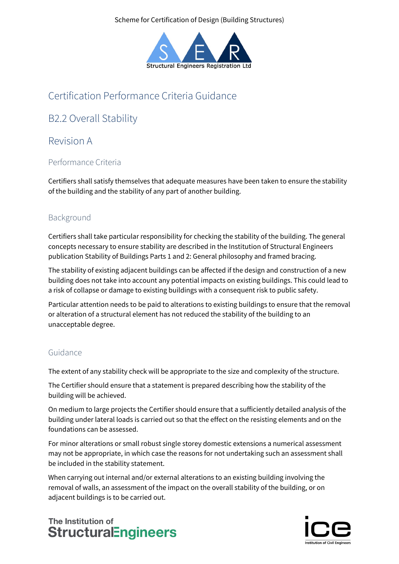Scheme for Certification of Design (Building Structures)



# Certification Performance Criteria Guidance

# B2.2 Overall Stability

## Revision A

### Performance Criteria

Certifiers shall satisfy themselves that adequate measures have been taken to ensure the stability of the building and the stability of any part of another building.

### Background

Certifiers shall take particular responsibility for checking the stability of the building. The general concepts necessary to ensure stability are described in the Institution of Structural Engineers publication Stability of Buildings Parts 1 and 2: General philosophy and framed bracing.

The stability of existing adjacent buildings can be affected if the design and construction of a new building does not take into account any potential impacts on existing buildings. This could lead to a risk of collapse or damage to existing buildings with a consequent risk to public safety.

Particular attention needs to be paid to alterations to existing buildings to ensure that the removal or alteration of a structural element has not reduced the stability of the building to an unacceptable degree.

### Guidance

The extent of any stability check will be appropriate to the size and complexity of the structure.

The Certifier should ensure that a statement is prepared describing how the stability of the building will be achieved.

On medium to large projects the Certifier should ensure that a sufficiently detailed analysis of the building under lateral loads is carried out so that the effect on the resisting elements and on the foundations can be assessed.

For minor alterations or small robust single storey domestic extensions a numerical assessment may not be appropriate, in which case the reasons for not undertaking such an assessment shall be included in the stability statement.

When carrying out internal and/or external alterations to an existing building involving the removal of walls, an assessment of the impact on the overall stability of the building, or on adjacent buildings is to be carried out.